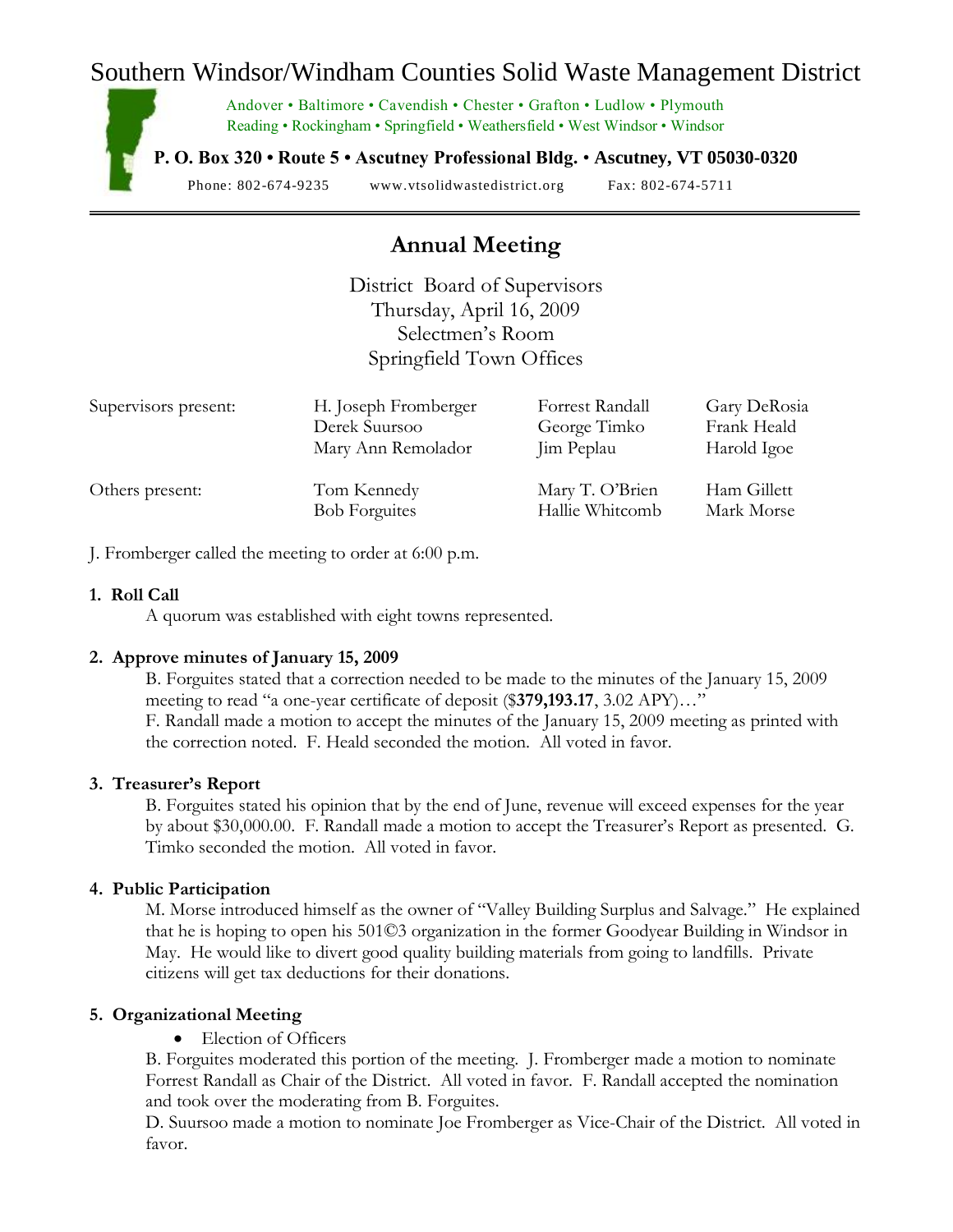## Southern Windsor/Windham Counties Solid Waste Management District

Andover • Baltimore • Cavendish • Chester • Grafton • Ludlow • Plymouth Reading • Rockingham • Springfield • Weathersfield • West Windsor • Windsor

**P. O. Box 320 • Route 5 • Ascutney Professional Bldg.** • **Ascutney, VT 05030-0320**

Phone: 802-674-9235 www.vtsolidwastedistrict.org Fax: 802-674-5711

# **Annual Meeting**

District Board of Supervisors Thursday, April 16, 2009 Selectmen's Room Springfield Town Offices

| Supervisors present: | H. Joseph Fromberger | Forrest Randall | Gary DeRosia |
|----------------------|----------------------|-----------------|--------------|
|                      | Derek Suursoo        | George Timko    | Frank Heald  |
|                      | Mary Ann Remolador   | Jim Peplau      | Harold Igoe  |
| Others present:      | Tom Kennedy          | Mary T. O'Brien | Ham Gillett  |
|                      | <b>Bob Forguites</b> | Hallie Whitcomb | Mark Morse   |

J. Fromberger called the meeting to order at 6:00 p.m.

#### **1. Roll Call**

A quorum was established with eight towns represented.

### **2. Approve minutes of January 15, 2009**

B. Forguites stated that a correction needed to be made to the minutes of the January 15, 2009 meeting to read "a one-year certificate of deposit (\$**379,193.17**, 3.02 APY)…" F. Randall made a motion to accept the minutes of the January 15, 2009 meeting as printed with the correction noted. F. Heald seconded the motion. All voted in favor.

### **3. Treasurer's Report**

B. Forguites stated his opinion that by the end of June, revenue will exceed expenses for the year by about \$30,000.00. F. Randall made a motion to accept the Treasurer's Report as presented. G. Timko seconded the motion. All voted in favor.

### **4. Public Participation**

M. Morse introduced himself as the owner of "Valley Building Surplus and Salvage." He explained that he is hoping to open his 501©3 organization in the former Goodyear Building in Windsor in May. He would like to divert good quality building materials from going to landfills. Private citizens will get tax deductions for their donations.

### **5. Organizational Meeting**

• Election of Officers

B. Forguites moderated this portion of the meeting. J. Fromberger made a motion to nominate Forrest Randall as Chair of the District. All voted in favor. F. Randall accepted the nomination and took over the moderating from B. Forguites.

D. Suursoo made a motion to nominate Joe Fromberger as Vice-Chair of the District. All voted in favor.